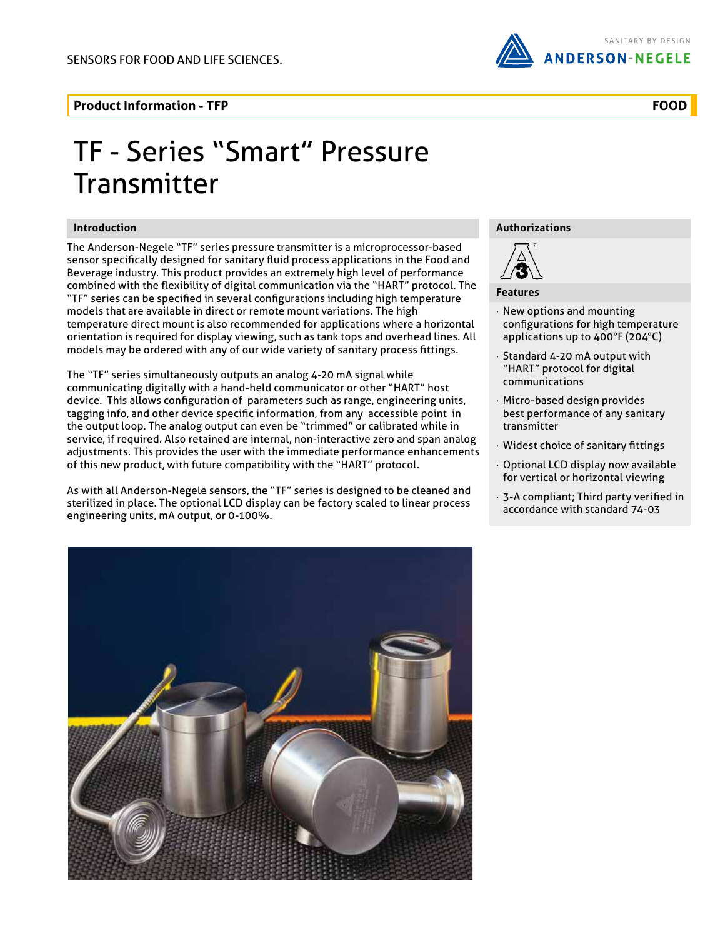

### **Product Information - TFP**

# TF - Series "Smart" Pressure **Transmitter**

#### **Introduction**

The Anderson-Negele "TF" series pressure transmitter is a microprocessor-based sensor specifically designed for sanitary fluid process applications in the Food and Beverage industry. This product provides an extremely high level of performance combined with the flexibility of digital communication via the "HART" protocol. The "TF" series can be specified in several configurations including high temperature models that are available in direct or remote mount variations. The high temperature direct mount is also recommended for applications where a horizontal orientation is required for display viewing, such as tank tops and overhead lines. All models may be ordered with any of our wide variety of sanitary process fittings.

The "TF" series simultaneously outputs an analog 4-20 mA signal while communicating digitally with a hand-held communicator or other "HART" host device. This allows configuration of parameters such as range, engineering units, tagging info, and other device specific information, from any accessible point in the output loop. The analog output can even be "trimmed" or calibrated while in service, if required. Also retained are internal, non-interactive zero and span analog adjustments. This provides the user with the immediate performance enhancements of this new product, with future compatibility with the "HART" protocol.

As with all Anderson-Negele sensors, the "TF" series is designed to be cleaned and sterilized in place. The optional LCD display can be factory scaled to linear process engineering units, mA output, or 0-100%.

#### **Authorizations**



#### **Features**

- · New options and mounting configurations for high temperature applications up to 400°F (204°C)
- Standard 4-20 mA output with "HART" protocol for digital communications
- · Micro-based design provides best performance of any sanitary transmitter
- · Widest choice of sanitary fittings
- · Optional LCD display now available for vertical or horizontal viewing
- · 3-A compliant; Third party verified in accordance with standard 74-03



## **FOOD**